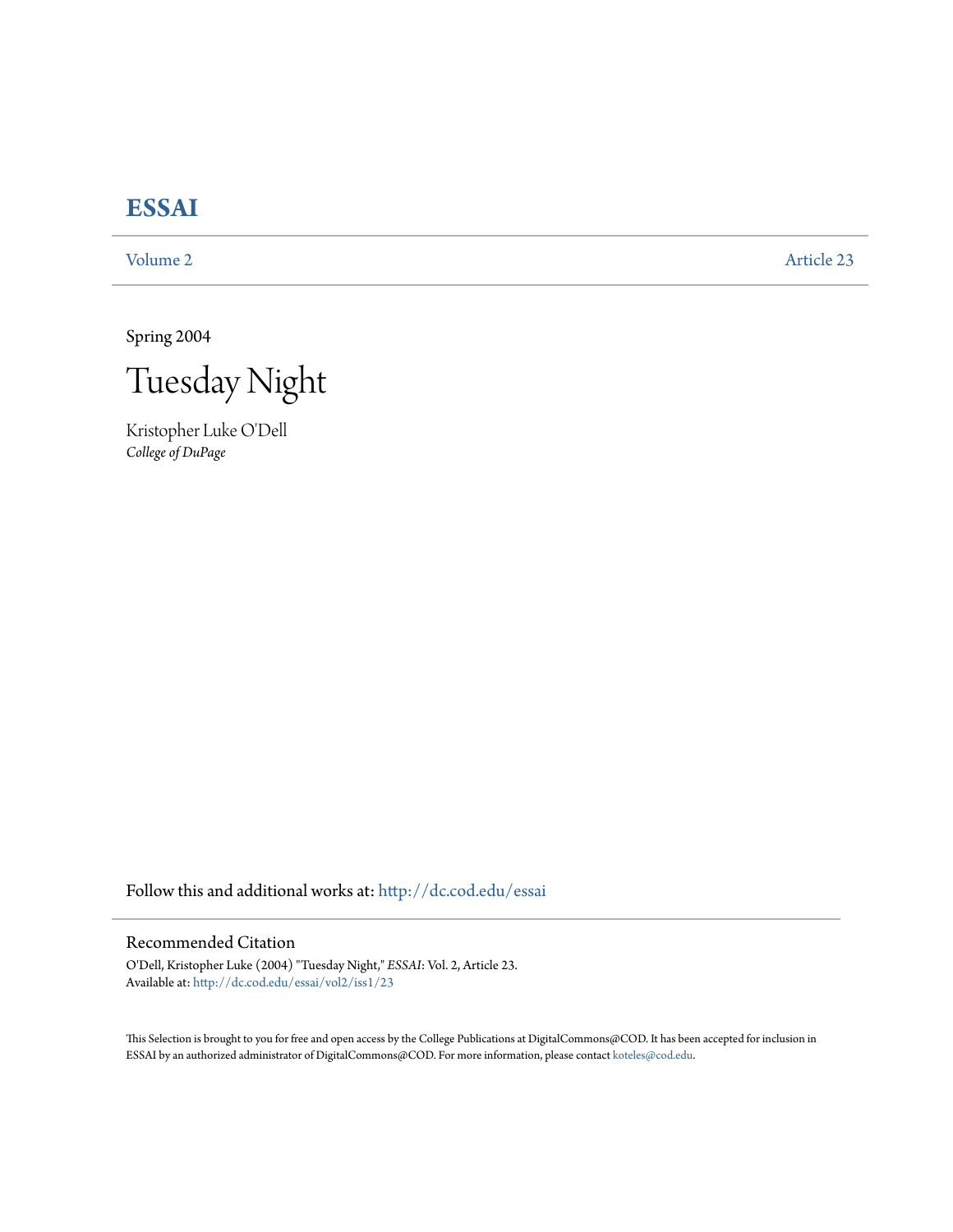# **[ESSAI](http://dc.cod.edu/essai?utm_source=dc.cod.edu%2Fessai%2Fvol2%2Fiss1%2F23&utm_medium=PDF&utm_campaign=PDFCoverPages)**

[Volume 2](http://dc.cod.edu/essai/vol2?utm_source=dc.cod.edu%2Fessai%2Fvol2%2Fiss1%2F23&utm_medium=PDF&utm_campaign=PDFCoverPages) [Article 23](http://dc.cod.edu/essai/vol2/iss1/23?utm_source=dc.cod.edu%2Fessai%2Fvol2%2Fiss1%2F23&utm_medium=PDF&utm_campaign=PDFCoverPages)

Spring 2004

Tuesday Night

Kristopher Luke O'Dell *College of DuPage*

Follow this and additional works at: [http://dc.cod.edu/essai](http://dc.cod.edu/essai?utm_source=dc.cod.edu%2Fessai%2Fvol2%2Fiss1%2F23&utm_medium=PDF&utm_campaign=PDFCoverPages)

## Recommended Citation

O'Dell, Kristopher Luke (2004) "Tuesday Night," *ESSAI*: Vol. 2, Article 23. Available at: [http://dc.cod.edu/essai/vol2/iss1/23](http://dc.cod.edu/essai/vol2/iss1/23?utm_source=dc.cod.edu%2Fessai%2Fvol2%2Fiss1%2F23&utm_medium=PDF&utm_campaign=PDFCoverPages)

This Selection is brought to you for free and open access by the College Publications at DigitalCommons@COD. It has been accepted for inclusion in ESSAI by an authorized administrator of DigitalCommons@COD. For more information, please contact [koteles@cod.edu](mailto:koteles@cod.edu).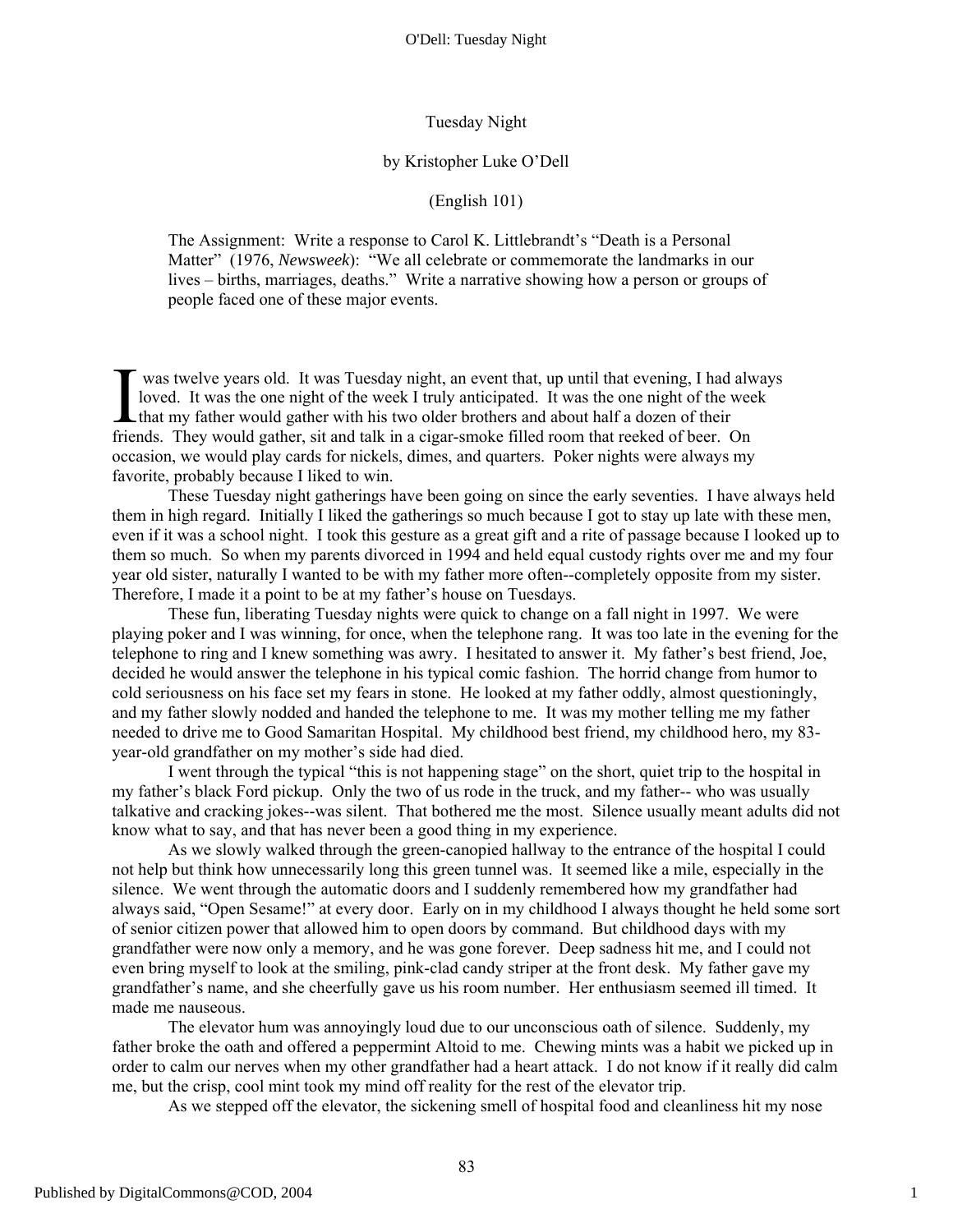### Tuesday Night

### by Kristopher Luke O'Dell

### (English 101)

The Assignment: Write a response to Carol K. Littlebrandt's "Death is a Personal Matter" (1976, *Newsweek*): "We all celebrate or commemorate the landmarks in our lives – births, marriages, deaths." Write a narrative showing how a person or groups of people faced one of these major events.

was twelve years old. It was Tuesday night, an event that, up until that evening, I had always loved. It was the one night of the week I truly anticipated. It was the one night of the week T was twelve years old. It was Tuesday night, an event that, up until that evening, I had<br>loved. It was the one night of the week I truly anticipated. It was the one night of the v<br>that my father would gather with his two friends. They would gather, sit and talk in a cigar-smoke filled room that reeked of beer. On occasion, we would play cards for nickels, dimes, and quarters. Poker nights were always my favorite, probably because I liked to win.

These Tuesday night gatherings have been going on since the early seventies. I have always held them in high regard. Initially I liked the gatherings so much because I got to stay up late with these men, even if it was a school night. I took this gesture as a great gift and a rite of passage because I looked up to them so much. So when my parents divorced in 1994 and held equal custody rights over me and my four year old sister, naturally I wanted to be with my father more often--completely opposite from my sister. Therefore, I made it a point to be at my father's house on Tuesdays.

These fun, liberating Tuesday nights were quick to change on a fall night in 1997. We were playing poker and I was winning, for once, when the telephone rang. It was too late in the evening for the telephone to ring and I knew something was awry. I hesitated to answer it. My father's best friend, Joe, decided he would answer the telephone in his typical comic fashion. The horrid change from humor to cold seriousness on his face set my fears in stone. He looked at my father oddly, almost questioningly, and my father slowly nodded and handed the telephone to me. It was my mother telling me my father needed to drive me to Good Samaritan Hospital. My childhood best friend, my childhood hero, my 83 year-old grandfather on my mother's side had died.

I went through the typical "this is not happening stage" on the short, quiet trip to the hospital in my father's black Ford pickup. Only the two of us rode in the truck, and my father-- who was usually talkative and cracking jokes--was silent. That bothered me the most. Silence usually meant adults did not know what to say, and that has never been a good thing in my experience.

As we slowly walked through the green-canopied hallway to the entrance of the hospital I could not help but think how unnecessarily long this green tunnel was. It seemed like a mile, especially in the silence. We went through the automatic doors and I suddenly remembered how my grandfather had always said, "Open Sesame!" at every door. Early on in my childhood I always thought he held some sort of senior citizen power that allowed him to open doors by command. But childhood days with my grandfather were now only a memory, and he was gone forever. Deep sadness hit me, and I could not even bring myself to look at the smiling, pink-clad candy striper at the front desk. My father gave my grandfather's name, and she cheerfully gave us his room number. Her enthusiasm seemed ill timed. It made me nauseous.

The elevator hum was annoyingly loud due to our unconscious oath of silence. Suddenly, my father broke the oath and offered a peppermint Altoid to me. Chewing mints was a habit we picked up in order to calm our nerves when my other grandfather had a heart attack. I do not know if it really did calm me, but the crisp, cool mint took my mind off reality for the rest of the elevator trip.

As we stepped off the elevator, the sickening smell of hospital food and cleanliness hit my nose